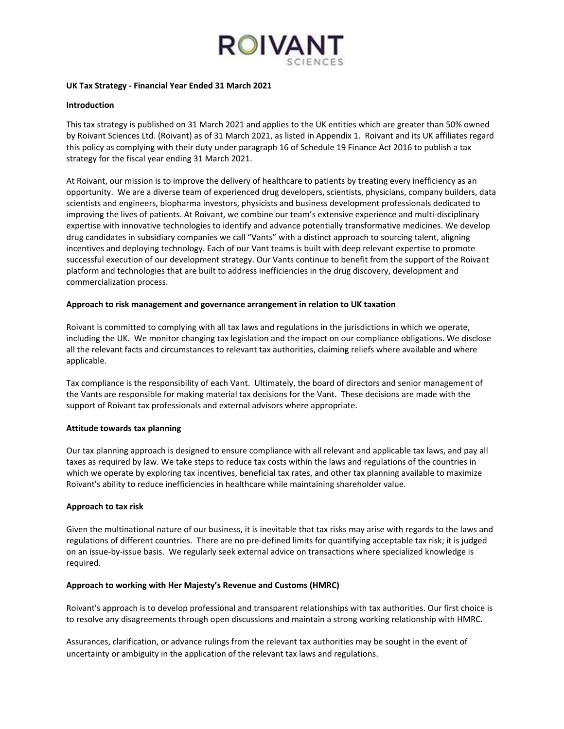

### **UK Tax Strategy - Financial Year Ended 31 March 2021**

## **Introduction**

This tax strategy is published on 31 March 2021 and applies to the UK entities which are greater than 50% owned by Roivant Sciences Ltd. (Roivant) as of 31 March 2021, as listed in Appendix 1. Roivant and its UK affiliates regard this policy as complying with their duty under paragraph 16 of Schedule 19 Finance Act 2016 to publish a tax strategy for the fiscal year ending 31 March 2021.

At Roivant, our mission is to improve the delivery of healthcare to patients by treating every inefficiency as an opportunity. We are a diverse team of experienced drug developers, scientists, physicians, company builders, data scientists and engineers, biopharma investors, physicists and business development professionals dedicated to improving the lives of patients. At Roivant, we combine our team's extensive experience and multi-disciplinary expertise with innovative technologies to identify and advance potentially transformative medicines. We develop drug candidates in subsidiary companies we call "Vants" with a distinct approach to sourcing talent, aligning incentives and deploying technology. Each of our Vant teams is built with deep relevant expertise to promote successful execution of our development strategy. Our Vants continue to benefit from the support of the Roivant platform and technologies that are built to address inefficiencies in the drug discovery, development and commercialization process.

### **Approach to risk management and governance arrangement in relation to UK taxation**

Roivant is committed to complying with all tax laws and regulations in the jurisdictions in which we operate, including the UK. We monitor changing tax legislation and the impact on our compliance obligations. We disclose all the relevant facts and circumstances to relevant tax authorities, claiming reliefs where available and where applicable.

Tax compliance is the responsibility of each Vant. Ultimately, the board of directors and senior management of the Vants are responsible for making material tax decisions for the Vant. These decisions are made with the support of Roivant tax professionals and external advisors where appropriate.

### **Attitude towards tax planning**

Our tax planning approach is designed to ensure compliance with all relevant and applicable tax laws, and pay all taxes as required by law. We take steps to reduce tax costs within the laws and regulations of the countries in which we operate by exploring tax incentives, beneficial tax rates, and other tax planning available to maximize Roivant's ability to reduce inefficiencies in healthcare while maintaining shareholder value.

### **Approach to tax risk**

Given the multinational nature of our business, it is inevitable that tax risks may arise with regards to the laws and regulations of different countries. There are no pre-defined limits for quantifying acceptable tax risk; it is judged on an issue-by-issue basis. We regularly seek external advice on transactions where specialized knowledge is required.

### **Approach to working with Her Majesty's Revenue and Customs (HMRC)**

Roivant's approach is to develop professional and transparent relationships with tax authorities. Our first choice is to resolve any disagreements through open discussions and maintain a strong working relationship with HMRC.

Assurances, clarification, or advance rulings from the relevant tax authorities may be sought in the event of uncertainty or ambiguity in the application of the relevant tax laws and regulations.